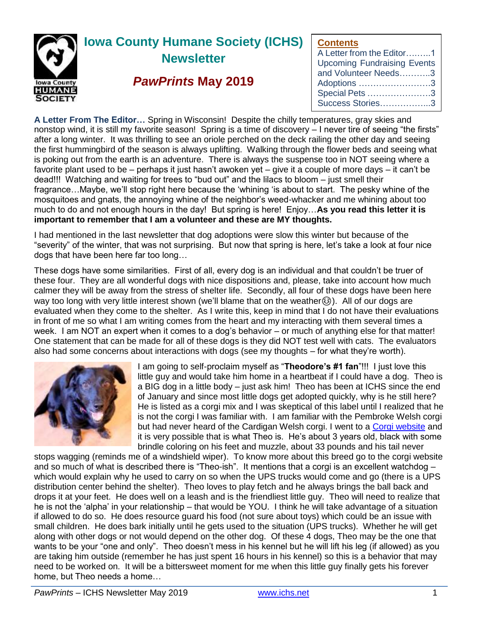

# **Iowa County Humane Society (ICHS) Newsletter**

## *PawPrints* **May 2019**

## **Contents**

| A Letter from the Editor1          |
|------------------------------------|
| <b>Upcoming Fundraising Events</b> |
| and Volunteer Needs3               |
| Adoptions 3                        |
| Special Pets 3                     |
| Success Stories3                   |

**A Letter From The Editor…** Spring in Wisconsin! Despite the chilly temperatures, gray skies and nonstop wind, it is still my favorite season! Spring is a time of discovery – I never tire of seeing "the firsts" after a long winter. It was thrilling to see an oriole perched on the deck railing the other day and seeing the first hummingbird of the season is always uplifting. Walking through the flower beds and seeing what is poking out from the earth is an adventure. There is always the suspense too in NOT seeing where a favorite plant used to be – perhaps it just hasn't awoken yet – give it a couple of more days – it can't be dead!!! Watching and waiting for trees to "bud out" and the lilacs to bloom – just smell their fragrance…Maybe, we'll stop right here because the 'whining 'is about to start. The pesky whine of the mosquitoes and gnats, the annoying whine of the neighbor's weed-whacker and me whining about too much to do and not enough hours in the day! But spring is here! Enjoy…**As you read this letter it is important to remember that I am a volunteer and these are MY thoughts.**

I had mentioned in the last newsletter that dog adoptions were slow this winter but because of the "severity" of the winter, that was not surprising. But now that spring is here, let's take a look at four nice dogs that have been here far too long…

These dogs have some similarities. First of all, every dog is an individual and that couldn't be truer of these four. They are all wonderful dogs with nice dispositions and, please, take into account how much calmer they will be away from the stress of shelter life. Secondly, all four of these dogs have been here way too long with very little interest shown (we'll blame that on the weather...). All of our dogs are evaluated when they come to the shelter. As I write this, keep in mind that I do not have their evaluations in front of me so what I am writing comes from the heart and my interacting with them several times a week. I am NOT an expert when it comes to a dog's behavior – or much of anything else for that matter! One statement that can be made for all of these dogs is they did NOT test well with cats. The evaluators also had some concerns about interactions with dogs (see my thoughts – for what they're worth).



I am going to self-proclaim myself as "**Theodore's #1 fan**"!!! I just love this little guy and would take him home in a heartbeat if I could have a dog. Theo is a BIG dog in a little body – just ask him! Theo has been at ICHS since the end of January and since most little dogs get adopted quickly, why is he still here? He is listed as a corgi mix and I was skeptical of this label until I realized that he is not the corgi I was familiar with. I am familiar with the Pembroke Welsh corgi but had never heard of the Cardigan Welsh corgi. I went to a [Corgi website](https://www.petfinder.com/dog-breeds/cardigan-welsh-corgi/) and it is very possible that is what Theo is. He's about 3 years old, black with some brindle coloring on his feet and muzzle, about 33 pounds and his tail never

stops wagging (reminds me of a windshield wiper). To know more about this breed go to the corgi website and so much of what is described there is "Theo-ish". It mentions that a corgi is an excellent watchdog – which would explain why he used to carry on so when the UPS trucks would come and go (there is a UPS distribution center behind the shelter). Theo loves to play fetch and he always brings the ball back and drops it at your feet. He does well on a leash and is the friendliest little guy. Theo will need to realize that he is not the 'alpha' in your relationship – that would be YOU. I think he will take advantage of a situation if allowed to do so. He does resource guard his food (not sure about toys) which could be an issue with small children. He does bark initially until he gets used to the situation (UPS trucks). Whether he will get along with other dogs or not would depend on the other dog. Of these 4 dogs, Theo may be the one that wants to be your "one and only". Theo doesn't mess in his kennel but he will lift his leg (if allowed) as you are taking him outside (remember he has just spent 16 hours in his kennel) so this is a behavior that may need to be worked on. It will be a bittersweet moment for me when this little guy finally gets his forever home, but Theo needs a home…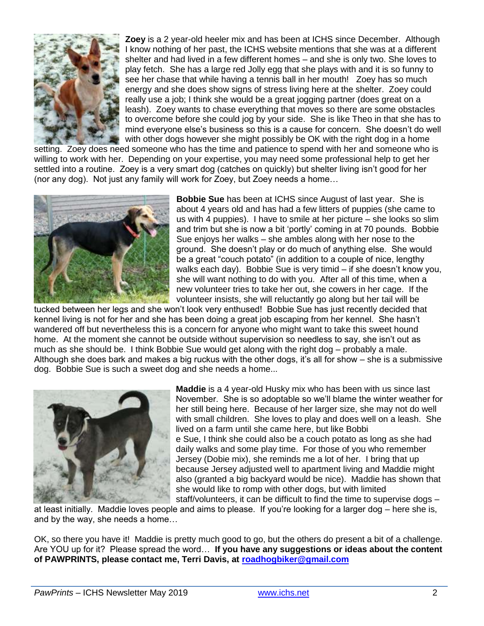

**Zoey** is a 2 year-old heeler mix and has been at ICHS since December. Although I know nothing of her past, the ICHS website mentions that she was at a different shelter and had lived in a few different homes – and she is only two. She loves to play fetch. She has a large red Jolly egg that she plays with and it is so funny to see her chase that while having a tennis ball in her mouth! Zoey has so much energy and she does show signs of stress living here at the shelter. Zoey could really use a job; I think she would be a great jogging partner (does great on a leash). Zoey wants to chase everything that moves so there are some obstacles to overcome before she could jog by your side. She is like Theo in that she has to mind everyone else's business so this is a cause for concern. She doesn't do well with other dogs however she might possibly be OK with the right dog in a home

setting. Zoey does need someone who has the time and patience to spend with her and someone who is willing to work with her. Depending on your expertise, you may need some professional help to get her settled into a routine. Zoey is a very smart dog (catches on quickly) but shelter living isn't good for her (nor any dog). Not just any family will work for Zoey, but Zoey needs a home…



**Bobbie Sue** has been at ICHS since August of last year. She is about 4 years old and has had a few litters of puppies (she came to us with 4 puppies). I have to smile at her picture – she looks so slim and trim but she is now a bit 'portly' coming in at 70 pounds. Bobbie Sue enjoys her walks – she ambles along with her nose to the ground. She doesn't play or do much of anything else. She would be a great "couch potato" (in addition to a couple of nice, lengthy walks each day). Bobbie Sue is very timid – if she doesn't know you, she will want nothing to do with you. After all of this time, when a new volunteer tries to take her out, she cowers in her cage. If the volunteer insists, she will reluctantly go along but her tail will be

tucked between her legs and she won't look very enthused! Bobbie Sue has just recently decided that kennel living is not for her and she has been doing a great job escaping from her kennel. She hasn't wandered off but nevertheless this is a concern for anyone who might want to take this sweet hound home. At the moment she cannot be outside without supervision so needless to say, she isn't out as much as she should be. I think Bobbie Sue would get along with the right dog – probably a male. Although she does bark and makes a big ruckus with the other dogs, it's all for show – she is a submissive dog. Bobbie Sue is such a sweet dog and she needs a home...



**Maddie** is a 4 year-old Husky mix who has been with us since last November. She is so adoptable so we'll blame the winter weather for her still being here. Because of her larger size, she may not do well with small children. She loves to play and does well on a leash. She lived on a farm until she came here, but like Bobbi e Sue, I think she could also be a couch potato as long as she had daily walks and some play time. For those of you who remember Jersey (Dobie mix), she reminds me a lot of her. I bring that up because Jersey adjusted well to apartment living and Maddie might also (granted a big backyard would be nice). Maddie has shown that she would like to romp with other dogs, but with limited staff/volunteers, it can be difficult to find the time to supervise dogs –

at least initially. Maddie loves people and aims to please. If you're looking for a larger dog – here she is, and by the way, she needs a home…

OK, so there you have it! Maddie is pretty much good to go, but the others do present a bit of a challenge. Are YOU up for it? Please spread the word… **If you have any suggestions or ideas about the content of PAWPRINTS, please contact me, Terri Davis, at [roadhogbiker@gmail.com](mailto:roadhogbiker@gmail.com)**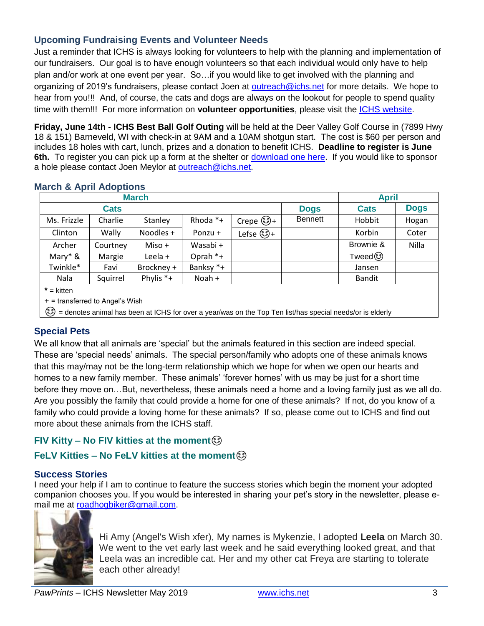## **Upcoming Fundraising Events and Volunteer Needs**

Just a reminder that ICHS is always looking for volunteers to help with the planning and implementation of our fundraisers. Our goal is to have enough volunteers so that each individual would only have to help plan and/or work at one event per year. So…if you would like to get involved with the planning and organizing of 2019's fundraisers, please contact Joen at [outreach@ichs.net](mailto:outreach@ichs.net) for more details. We hope to hear from you!!! And, of course, the cats and dogs are always on the lookout for people to spend quality time with them!!! For more information on **volunteer opportunities**, please visit the [ICHS website.](http://www.ichs.net/volunteer-help/volunteer/)

**Friday, June 14th - ICHS Best Ball Golf Outing** will be held at the Deer Valley Golf Course in (7899 Hwy 18 & 151) Barneveld, WI with check-in at 9AM and a 10AM shotgun start. The cost is \$60 per person and includes 18 holes with cart, lunch, prizes and a donation to benefit ICHS. **Deadline to register is June 6th.** To register you can pick up a form at the shelter or [download one here.](https://ichs.net/files/2915/5796/8031/ICHS_Golf_Outing_form.pdf) If you would like to sponsor a hole please contact Joen Meylor at [outreach@ichs.net.](mailto:outreach@ichs.net)

|                                   |             | <b>March</b> |           |           |                | <b>April</b>  |             |
|-----------------------------------|-------------|--------------|-----------|-----------|----------------|---------------|-------------|
|                                   | <b>Cats</b> |              |           |           | <b>Dogs</b>    | <b>Cats</b>   | <b>Dogs</b> |
| Ms. Frizzle                       | Charlie     | Stanley      | Rhoda *+  | Crepe හි+ | <b>Bennett</b> | Hobbit        | Hogan       |
| Clinton                           | Wally       | Noodles +    | Ponzu +   | Lefse හි+ |                | Korbin        | Coter       |
| Archer                            | Courtney    | Miso +       | Wasabi +  |           |                | Brownie &     | Nilla       |
| Mary $*$ &                        | Margie      | Leela +      | Oprah *+  |           |                | Tweed ③       |             |
| Twinkle*                          | Favi        | Brockney +   | Banksy *+ |           |                | Jansen        |             |
| Nala                              | Squirrel    | Phylis *+    | Noah +    |           |                | <b>Bandit</b> |             |
| $*$ = kitten                      |             |              |           |           |                |               |             |
| $+$ = transferred to Angel's Wish |             |              |           |           |                |               |             |

#### **March & April Adoptions**

+ = transferred to Angel's Wish

☺ = denotes animal has been at ICHS for over a year/was on the Top Ten list/has special needs/or is elderly

## **Special Pets**

We all know that all animals are 'special' but the animals featured in this section are indeed special. These are 'special needs' animals. The special person/family who adopts one of these animals knows that this may/may not be the long-term relationship which we hope for when we open our hearts and homes to a new family member. These animals' 'forever homes' with us may be just for a short time before they move on…But, nevertheless, these animals need a home and a loving family just as we all do. Are you possibly the family that could provide a home for one of these animals? If not, do you know of a family who could provide a loving home for these animals? If so, please come out to ICHS and find out more about these animals from the ICHS staff.

## **FIV Kitty – No FIV kitties at the moment**☺

## **FeLV Kitties – No FeLV kitties at the moment**☺

## **Success Stories**

I need your help if I am to continue to feature the success stories which begin the moment your adopted companion chooses you. If you would be interested in sharing your pet's story in the newsletter, please email me at [roadhogbiker@gmail.com.](mailto:roadhogbiker@gmail.com)



Hi Amy (Angel's Wish xfer), My names is Mykenzie, I adopted **Leela** on March 30. We went to the vet early last week and he said everything looked great, and that Leela was an incredible cat. Her and my other cat Freya are starting to tolerate each other already!